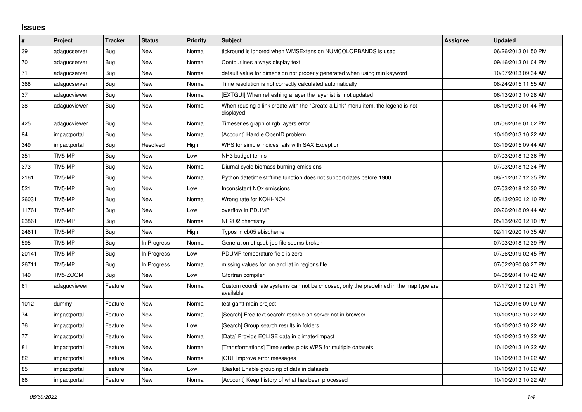## **Issues**

| $\vert$ # | Project      | <b>Tracker</b> | <b>Status</b> | <b>Priority</b> | <b>Subject</b>                                                                                     | Assignee | <b>Updated</b>      |
|-----------|--------------|----------------|---------------|-----------------|----------------------------------------------------------------------------------------------------|----------|---------------------|
| 39        | adagucserver | Bug            | New           | Normal          | tickround is ignored when WMSExtension NUMCOLORBANDS is used                                       |          | 06/26/2013 01:50 PM |
| 70        | adagucserver | Bug            | <b>New</b>    | Normal          | Contourlines always display text                                                                   |          | 09/16/2013 01:04 PM |
| 71        | adagucserver | <b>Bug</b>     | <b>New</b>    | Normal          | default value for dimension not properly generated when using min keyword                          |          | 10/07/2013 09:34 AM |
| 368       | adagucserver | Bug            | <b>New</b>    | Normal          | Time resolution is not correctly calculated automatically                                          |          | 08/24/2015 11:55 AM |
| 37        | adagucviewer | <b>Bug</b>     | <b>New</b>    | Normal          | [EXTGUI] When refreshing a layer the layerlist is not updated                                      |          | 06/13/2013 10:28 AM |
| 38        | adagucviewer | Bug            | New           | Normal          | When reusing a link create with the "Create a Link" menu item, the legend is not<br>displayed      |          | 06/19/2013 01:44 PM |
| 425       | adagucviewer | Bug            | <b>New</b>    | Normal          | Timeseries graph of rgb layers error                                                               |          | 01/06/2016 01:02 PM |
| 94        | impactportal | Bug            | <b>New</b>    | Normal          | [Account] Handle OpenID problem                                                                    |          | 10/10/2013 10:22 AM |
| 349       | impactportal | Bug            | Resolved      | High            | WPS for simple indices fails with SAX Exception                                                    |          | 03/19/2015 09:44 AM |
| 351       | TM5-MP       | Bug            | <b>New</b>    | Low             | NH <sub>3</sub> budget terms                                                                       |          | 07/03/2018 12:36 PM |
| 373       | TM5-MP       | Bug            | <b>New</b>    | Normal          | Diurnal cycle biomass burning emissions                                                            |          | 07/03/2018 12:34 PM |
| 2161      | TM5-MP       | <b>Bug</b>     | <b>New</b>    | Normal          | Python datetime.strftime function does not support dates before 1900                               |          | 08/21/2017 12:35 PM |
| 521       | TM5-MP       | <b>Bug</b>     | New           | Low             | Inconsistent NO <sub>x</sub> emissions                                                             |          | 07/03/2018 12:30 PM |
| 26031     | TM5-MP       | Bug            | <b>New</b>    | Normal          | Wrong rate for KOHHNO4                                                                             |          | 05/13/2020 12:10 PM |
| 11761     | TM5-MP       | Bug            | <b>New</b>    | Low             | overflow in PDUMP                                                                                  |          | 09/26/2018 09:44 AM |
| 23861     | TM5-MP       | Bug            | <b>New</b>    | Normal          | NH2O2 chemistry                                                                                    |          | 05/13/2020 12:10 PM |
| 24611     | TM5-MP       | Bug            | <b>New</b>    | High            | Typos in cb05 ebischeme                                                                            |          | 02/11/2020 10:35 AM |
| 595       | TM5-MP       | Bug            | In Progress   | Normal          | Generation of qsub job file seems broken                                                           |          | 07/03/2018 12:39 PM |
| 20141     | TM5-MP       | <b>Bug</b>     | In Progress   | Low             | PDUMP temperature field is zero                                                                    |          | 07/26/2019 02:45 PM |
| 26711     | TM5-MP       | Bug            | In Progress   | Normal          | missing values for lon and lat in regions file                                                     |          | 07/02/2020 08:27 PM |
| 149       | TM5-ZOOM     | <b>Bug</b>     | <b>New</b>    | Low             | Gfortran compiler                                                                                  |          | 04/08/2014 10:42 AM |
| 61        | adagucviewer | Feature        | <b>New</b>    | Normal          | Custom coordinate systems can not be choosed, only the predefined in the map type are<br>available |          | 07/17/2013 12:21 PM |
| 1012      | dummy        | Feature        | <b>New</b>    | Normal          | test gantt main project                                                                            |          | 12/20/2016 09:09 AM |
| 74        | impactportal | Feature        | <b>New</b>    | Normal          | [Search] Free text search: resolve on server not in browser                                        |          | 10/10/2013 10:22 AM |
| 76        | impactportal | Feature        | <b>New</b>    | Low             | [Search] Group search results in folders                                                           |          | 10/10/2013 10:22 AM |
| 77        | impactportal | Feature        | <b>New</b>    | Normal          | [Data] Provide ECLISE data in climate4impact                                                       |          | 10/10/2013 10:22 AM |
| 81        | impactportal | Feature        | <b>New</b>    | Normal          | [Transformations] Time series plots WPS for multiple datasets                                      |          | 10/10/2013 10:22 AM |
| 82        | impactportal | Feature        | <b>New</b>    | Normal          | [GUI] Improve error messages                                                                       |          | 10/10/2013 10:22 AM |
| 85        | impactportal | Feature        | <b>New</b>    | Low             | [Basket] Enable grouping of data in datasets                                                       |          | 10/10/2013 10:22 AM |
| 86        | impactportal | Feature        | New           | Normal          | [Account] Keep history of what has been processed                                                  |          | 10/10/2013 10:22 AM |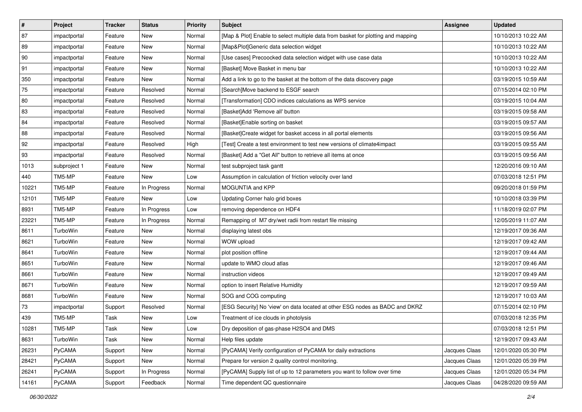| $\vert$ #    | Project      | <b>Tracker</b> | <b>Status</b> | Priority | <b>Subject</b>                                                                   | <b>Assignee</b> | <b>Updated</b>      |
|--------------|--------------|----------------|---------------|----------|----------------------------------------------------------------------------------|-----------------|---------------------|
| 87           | impactportal | Feature        | New           | Normal   | [Map & Plot] Enable to select multiple data from basket for plotting and mapping |                 | 10/10/2013 10:22 AM |
| 89           | impactportal | Feature        | <b>New</b>    | Normal   | [Map&Plot]Generic data selection widget                                          |                 | 10/10/2013 10:22 AM |
| $ 90\rangle$ | impactportal | Feature        | New           | Normal   | [Use cases] Precoocked data selection widget with use case data                  |                 | 10/10/2013 10:22 AM |
| 91           | impactportal | Feature        | New           | Normal   | [Basket] Move Basket in menu bar                                                 |                 | 10/10/2013 10:22 AM |
| 350          | impactportal | Feature        | New           | Normal   | Add a link to go to the basket at the bottom of the data discovery page          |                 | 03/19/2015 10:59 AM |
| 75           | impactportal | Feature        | Resolved      | Normal   | [Search]Move backend to ESGF search                                              |                 | 07/15/2014 02:10 PM |
| 80           | impactportal | Feature        | Resolved      | Normal   | [Transformation] CDO indices calculations as WPS service                         |                 | 03/19/2015 10:04 AM |
| 83           | impactportal | Feature        | Resolved      | Normal   | [Basket]Add 'Remove all' button                                                  |                 | 03/19/2015 09:58 AM |
| 84           | impactportal | Feature        | Resolved      | Normal   | [Basket]Enable sorting on basket                                                 |                 | 03/19/2015 09:57 AM |
| 88           | impactportal | Feature        | Resolved      | Normal   | [Basket]Create widget for basket access in all portal elements                   |                 | 03/19/2015 09:56 AM |
| 92           | impactportal | Feature        | Resolved      | High     | [Test] Create a test environment to test new versions of climate4impact          |                 | 03/19/2015 09:55 AM |
| 93           | impactportal | Feature        | Resolved      | Normal   | [Basket] Add a "Get All" button to retrieve all items at once                    |                 | 03/19/2015 09:56 AM |
| 1013         | subproject 1 | Feature        | <b>New</b>    | Normal   | test subproject task gantt                                                       |                 | 12/20/2016 09:10 AM |
| 440          | TM5-MP       | Feature        | New           | Low      | Assumption in calculation of friction velocity over land                         |                 | 07/03/2018 12:51 PM |
| 10221        | TM5-MP       | Feature        | In Progress   | Normal   | MOGUNTIA and KPP                                                                 |                 | 09/20/2018 01:59 PM |
| 12101        | TM5-MP       | Feature        | New           | Low      | Updating Corner halo grid boxes                                                  |                 | 10/10/2018 03:39 PM |
| 8931         | TM5-MP       | Feature        | In Progress   | Low      | removing dependence on HDF4                                                      |                 | 11/18/2019 02:07 PM |
| 23221        | TM5-MP       | Feature        | In Progress   | Normal   | Remapping of M7 dry/wet radii from restart file missing                          |                 | 12/05/2019 11:07 AM |
| 8611         | TurboWin     | Feature        | New           | Normal   | displaying latest obs                                                            |                 | 12/19/2017 09:36 AM |
| 8621         | TurboWin     | Feature        | <b>New</b>    | Normal   | WOW upload                                                                       |                 | 12/19/2017 09:42 AM |
| 8641         | TurboWin     | Feature        | New           | Normal   | plot position offline                                                            |                 | 12/19/2017 09:44 AM |
| 8651         | TurboWin     | Feature        | <b>New</b>    | Normal   | update to WMO cloud atlas                                                        |                 | 12/19/2017 09:46 AM |
| 8661         | TurboWin     | Feature        | New           | Normal   | instruction videos                                                               |                 | 12/19/2017 09:49 AM |
| 8671         | TurboWin     | Feature        | <b>New</b>    | Normal   | option to insert Relative Humidity                                               |                 | 12/19/2017 09:59 AM |
| 8681         | TurboWin     | Feature        | New           | Normal   | SOG and COG computing                                                            |                 | 12/19/2017 10:03 AM |
| 73           | impactportal | Support        | Resolved      | Normal   | [ESG Security] No 'view' on data located at other ESG nodes as BADC and DKRZ     |                 | 07/15/2014 02:10 PM |
| 439          | TM5-MP       | Task           | New           | Low      | Treatment of ice clouds in photolysis                                            |                 | 07/03/2018 12:35 PM |
| 10281        | TM5-MP       | Task           | New           | Low      | Dry deposition of gas-phase H2SO4 and DMS                                        |                 | 07/03/2018 12:51 PM |
| 8631         | TurboWin     | Task           | New           | Normal   | Help files update                                                                |                 | 12/19/2017 09:43 AM |
| 26231        | PyCAMA       | Support        | New           | Normal   | [PyCAMA] Verify configuration of PyCAMA for daily extractions                    | Jacques Claas   | 12/01/2020 05:30 PM |
| 28421        | PyCAMA       | Support        | New           | Normal   | Prepare for version 2 quality control monitoring.                                | Jacques Claas   | 12/01/2020 05:39 PM |
| 26241        | PyCAMA       | Support        | In Progress   | Normal   | [PyCAMA] Supply list of up to 12 parameters you want to follow over time         | Jacques Claas   | 12/01/2020 05:34 PM |
| 14161        | PyCAMA       | Support        | Feedback      | Normal   | Time dependent QC questionnaire                                                  | Jacques Claas   | 04/28/2020 09:59 AM |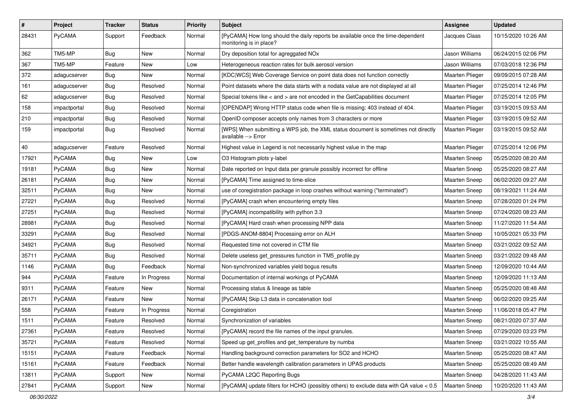| $\pmb{\#}$ | Project      | <b>Tracker</b> | <b>Status</b> | <b>Priority</b> | <b>Subject</b>                                                                                             | Assignee             | <b>Updated</b>      |
|------------|--------------|----------------|---------------|-----------------|------------------------------------------------------------------------------------------------------------|----------------------|---------------------|
| 28431      | PyCAMA       | Support        | Feedback      | Normal          | [PyCAMA] How long should the daily reports be available once the time-dependent<br>monitoring is in place? | Jacques Claas        | 10/15/2020 10:26 AM |
| 362        | TM5-MP       | <b>Bug</b>     | New           | Normal          | Dry deposition total for agreggated NOx                                                                    | Jason Williams       | 06/24/2015 02:06 PM |
| 367        | TM5-MP       | Feature        | New           | Low             | Heterogeneous reaction rates for bulk aerosol version                                                      | Jason Williams       | 07/03/2018 12:36 PM |
| 372        | adagucserver | <b>Bug</b>     | New           | Normal          | [KDC WCS] Web Coverage Service on point data does not function correctly                                   | Maarten Plieger      | 09/09/2015 07:28 AM |
| 161        | adagucserver | Bug            | Resolved      | Normal          | Point datasets where the data starts with a nodata value are not displayed at all                          | Maarten Plieger      | 07/25/2014 12:46 PM |
| 62         | adagucserver | <b>Bug</b>     | Resolved      | Normal          | Special tokens like < and > are not encoded in the GetCapabilities document                                | Maarten Plieger      | 07/25/2014 12:05 PM |
| 158        | impactportal | Bug            | Resolved      | Normal          | [OPENDAP] Wrong HTTP status code when file is missing: 403 instead of 404.                                 | Maarten Plieger      | 03/19/2015 09:53 AM |
| 210        | impactportal | <b>Bug</b>     | Resolved      | Normal          | OpenID composer accepts only names from 3 characters or more                                               | Maarten Plieger      | 03/19/2015 09:52 AM |
| 159        | impactportal | Bug            | Resolved      | Normal          | [WPS] When submitting a WPS job, the XML status document is sometimes not directly<br>available --> Error  | Maarten Plieger      | 03/19/2015 09:52 AM |
| 40         | adagucserver | Feature        | Resolved      | Normal          | Highest value in Legend is not necessarily highest value in the map                                        | Maarten Plieger      | 07/25/2014 12:06 PM |
| 17921      | PyCAMA       | <b>Bug</b>     | New           | Low             | O3 Histogram plots y-label                                                                                 | Maarten Sneep        | 05/25/2020 08:20 AM |
| 19181      | PyCAMA       | <b>Bug</b>     | New           | Normal          | Date reported on Input data per granule possibly incorrect for offline                                     | <b>Maarten Sneep</b> | 05/25/2020 08:27 AM |
| 26181      | PyCAMA       | Bug            | New           | Normal          | [PyCAMA] Time assigned to time-slice                                                                       | <b>Maarten Sneep</b> | 06/02/2020 09:27 AM |
| 32511      | PyCAMA       | <b>Bug</b>     | New           | Normal          | use of coregistration package in loop crashes without warning ("terminated")                               | Maarten Sneep        | 08/19/2021 11:24 AM |
| 27221      | PyCAMA       | <b>Bug</b>     | Resolved      | Normal          | [PyCAMA] crash when encountering empty files                                                               | Maarten Sneep        | 07/28/2020 01:24 PM |
| 27251      | PyCAMA       | Bug            | Resolved      | Normal          | [PyCAMA] incompatibility with python 3.3                                                                   | Maarten Sneep        | 07/24/2020 08:23 AM |
| 28981      | PyCAMA       | <b>Bug</b>     | Resolved      | Normal          | [PyCAMA] Hard crash when processing NPP data                                                               | <b>Maarten Sneep</b> | 11/27/2020 11:54 AM |
| 33291      | PyCAMA       | <b>Bug</b>     | Resolved      | Normal          | [PDGS-ANOM-8804] Processing error on ALH                                                                   | <b>Maarten Sneep</b> | 10/05/2021 05:33 PM |
| 34921      | PyCAMA       | <b>Bug</b>     | Resolved      | Normal          | Requested time not covered in CTM file                                                                     | <b>Maarten Sneep</b> | 03/21/2022 09:52 AM |
| 35711      | PyCAMA       | <b>Bug</b>     | Resolved      | Normal          | Delete useless get_pressures function in TM5_profile.py                                                    | Maarten Sneep        | 03/21/2022 09:48 AM |
| 1146       | PyCAMA       | Bug            | Feedback      | Normal          | Non-synchronized variables yield bogus results                                                             | Maarten Sneep        | 12/09/2020 10:44 AM |
| 944        | PyCAMA       | Feature        | In Progress   | Normal          | Documentation of internal workings of PyCAMA                                                               | <b>Maarten Sneep</b> | 12/09/2020 11:13 AM |
| 9311       | PyCAMA       | Feature        | New           | Normal          | Processing status & lineage as table                                                                       | <b>Maarten Sneep</b> | 05/25/2020 08:48 AM |
| 26171      | PyCAMA       | Feature        | New           | Normal          | [PyCAMA] Skip L3 data in concatenation tool                                                                | Maarten Sneep        | 06/02/2020 09:25 AM |
| 558        | PyCAMA       | Feature        | In Progress   | Normal          | Coregistration                                                                                             | <b>Maarten Sneep</b> | 11/06/2018 05:47 PM |
| 1511       | PyCAMA       | Feature        | Resolved      | Normal          | Synchronization of variables                                                                               | <b>Maarten Sneep</b> | 08/21/2020 07:37 AM |
| 27361      | PyCAMA       | Feature        | Resolved      | Normal          | [PyCAMA] record the file names of the input granules.                                                      | Maarten Sneep        | 07/29/2020 03:23 PM |
| 35721      | PyCAMA       | Feature        | Resolved      | Normal          | Speed up get profiles and get temperature by numba                                                         | Maarten Sneep        | 03/21/2022 10:55 AM |
| 15151      | PyCAMA       | Feature        | Feedback      | Normal          | Handling background correction parameters for SO2 and HCHO                                                 | Maarten Sneep        | 05/25/2020 08:47 AM |
| 15161      | PyCAMA       | Feature        | Feedback      | Normal          | Better handle wavelength calibration parameters in UPAS products                                           | <b>Maarten Sneep</b> | 05/25/2020 08:49 AM |
| 13811      | PyCAMA       | Support        | New           | Normal          | PyCAMA L2QC Reporting Bugs                                                                                 | Maarten Sneep        | 04/28/2020 11:43 AM |
| 27841      | PyCAMA       | Support        | New           | Normal          | [PyCAMA] update filters for HCHO (possibly others) to exclude data with QA value < 0.5                     | Maarten Sneep        | 10/20/2020 11:43 AM |